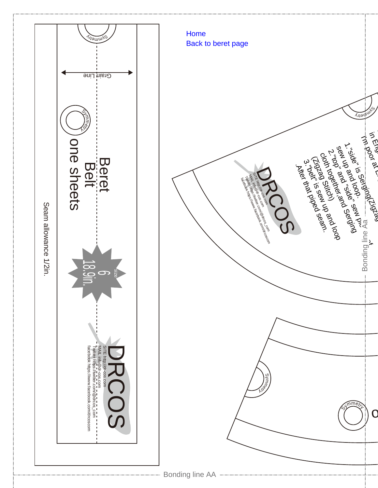